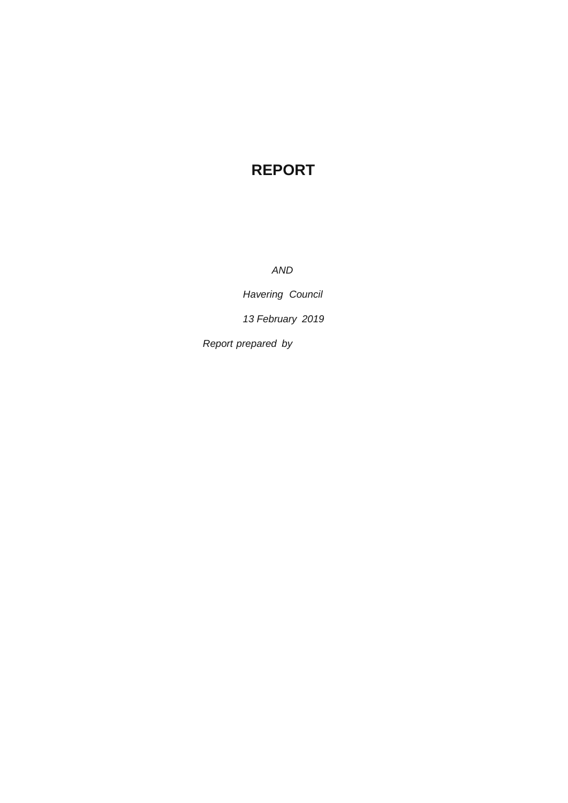# **REPORT**

*AND*

*Havering Council* 

*13 February 2019*

*Report prepared by*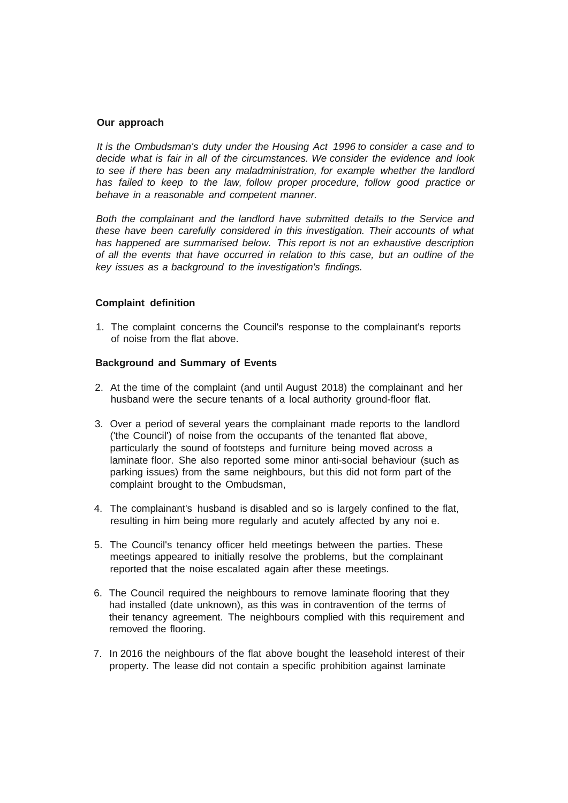## **Our approach**

*It is the Ombudsman's duty under the Housing Act 1996 to consider a case and to decide what is fair in all of the circumstances. We consider the evidence and look to see if there has been any maladministration, for example whether the landlord has failed to keep to the law, follow proper procedure, follow good practice or behave in a reasonable and competent manner.*

*Both the complainant and the landlord have submitted details to the Service and these have been carefully considered in this investigation. Their accounts of what has happened are summarised below. This report is not an exhaustive description of all the events that have occurred in relation to this case, but an outline of the key issues as a background to the investigation's findings.*

## **Complaint definition**

1. The complaint concerns the Council's response to the complainant's reports of noise from the flat above.

## **Background and Summary of Events**

- 2. At the time of the complaint (and until August 2018) the complainant and her husband were the secure tenants of a local authority ground-floor flat.
- 3. Over a period of several years the complainant made reports to the landlord ('the Council') of noise from the occupants of the tenanted flat above, particularly the sound of footsteps and furniture being moved across a laminate floor. She also reported some minor anti-social behaviour (such as parking issues) from the same neighbours, but this did not form part of the complaint brought to the Ombudsman,
- 4. The complainant's husband is disabled and so is largely confined to the flat, resulting in him being more regularly and acutely affected by any noi e.
- 5. The Council's tenancy officer held meetings between the parties. These meetings appeared to initially resolve the problems, but the complainant reported that the noise escalated again after these meetings.
- 6. The Council required the neighbours to remove laminate flooring that they had installed (date unknown), as this was in contravention of the terms of their tenancy agreement. The neighbours complied with this requirement and removed the flooring.
- 7. In 2016 the neighbours of the flat above bought the leasehold interest of their property. The lease did not contain a specific prohibition against laminate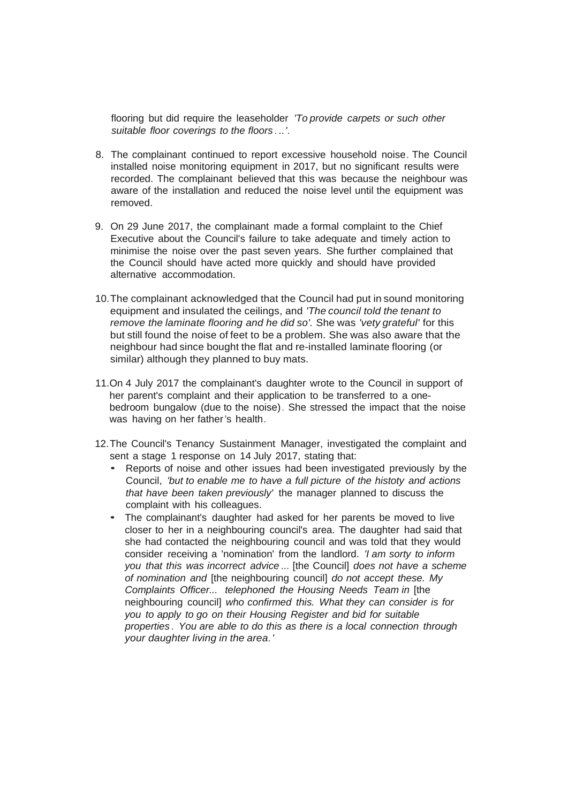flooring but did require the leaseholder *'To provide carpets or such other suitable floor coverings to the floors . ..'.*

- 8. The complainant continued to report excessive household noise. The Council installed noise monitoring equipment in 2017, but no significant results were recorded. The complainant believed that this was because the neighbour was aware of the installation and reduced the noise level until the equipment was removed.
- 9. On 29 June 2017, the complainant made a formal complaint to the Chief Executive about the Council's failure to take adequate and timely action to minimise the noise over the past seven years. She further complained that the Council should have acted more quickly and should have provided alternative accommodation.
- 10.The complainant acknowledged that the Council had put in sound monitoring equipment and insulated the ceilings, and *'The council told the tenant to remove the laminate flooring and he did so'.* She was *'vety grateful'* for this but still found the noise of feet to be a problem. She was also aware that the neighbour had since bought the flat and re-installed laminate flooring (or similar) although they planned to buy mats.
- 11.On 4 July 2017 the complainant's daughter wrote to the Council in support of her parent's complaint and their application to be transferred to a onebedroom bungalow (due to the noise). She stressed the impact that the noise was having on her father's health.
- 12.The Council's Tenancy Sustainment Manager, investigated the complaint and sent a stage 1 response on 14 July 2017, stating that:
	- Reports of noise and other issues had been investigated previously by the Council, *'but to enable me to have a full picture of the histoty and actions that have been taken previously'* the manager planned to discuss the complaint with his colleagues.
	- The complainant's daughter had asked for her parents be moved to live closer to her in a neighbouring council's area. The daughter had said that she had contacted the neighbouring council and was told that they would consider receiving a 'nomination' from the landlord. *'I am sorty to inform you that this was incorrect advice ...* [the Council] *does not have a scheme of nomination and* [the neighbouring council] *do not accept these. My Complaints Officer... telephoned the Housing Needs Team in* [the neighbouring council] *who confirmed this. What they can consider is for you to apply to go on their Housing Register and bid for suitable properties . You are able to do this as there is a local connection through your daughter living in the area.'*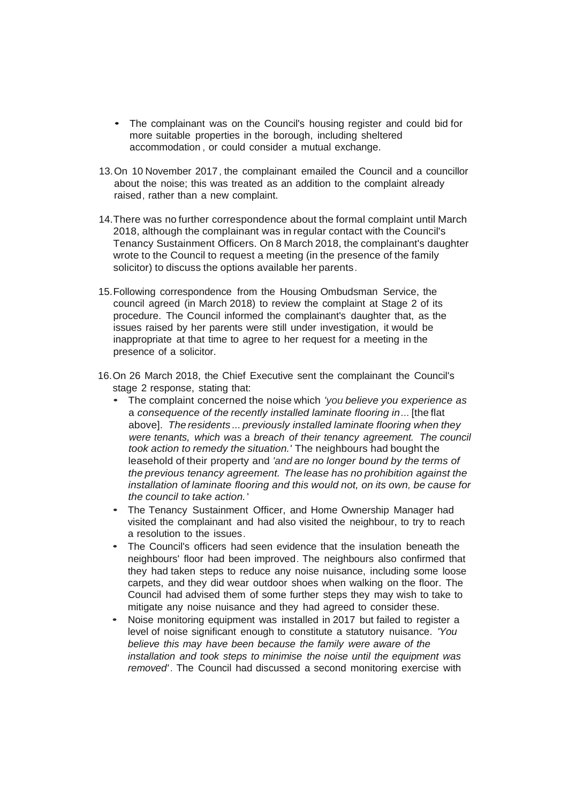- The complainant was on the Council's housing register and could bid for more suitable properties in the borough, including sheltered accommodation , or could consider a mutual exchange.
- 13.On 10 November 2017, the complainant emailed the Council and a councillor about the noise; this was treated as an addition to the complaint already raised, rather than a new complaint.
- 14.There was no further correspondence about the formal complaint until March 2018, although the complainant was in regular contact with the Council's Tenancy Sustainment Officers. On 8 March 2018, the complainant's daughter wrote to the Council to request a meeting (in the presence of the family solicitor) to discuss the options available her parents.
- 15.Following correspondence from the Housing Ombudsman Service, the council agreed (in March 2018) to review the complaint at Stage 2 of its procedure. The Council informed the complainant's daughter that, as the issues raised by her parents were still under investigation, it would be inappropriate at that time to agree to her request for a meeting in the presence of a solicitor.
- 16.On 26 March 2018, the Chief Executive sent the complainant the Council's stage 2 response, stating that:
	- The complaint concerned the noise which *'you believe you experience as* a *consequence of the recently installed laminate flooring in...* [the flat above]. *The residents ... previously installed laminate flooring when they were tenants, which was* a *breach of their tenancy agreement. The council took action to remedy the situation.'* The neighbours had bought the leasehold of their property and *'and are no longer bound by the terms of the previous tenancy agreement. The lease has no prohibition against the installation of laminate flooring and this would not, on its own, be cause for the council to take action.*'
	- The Tenancy Sustainment Officer, and Home Ownership Manager had visited the complainant and had also visited the neighbour, to try to reach a resolution to the issues.
	- The Council's officers had seen evidence that the insulation beneath the neighbours' floor had been improved. The neighbours also confirmed that they had taken steps to reduce any noise nuisance, including some loose carpets, and they did wear outdoor shoes when walking on the floor. The Council had advised them of some further steps they may wish to take to mitigate any noise nuisance and they had agreed to consider these.
	- Noise monitoring equipment was installed in 2017 but failed to register <sup>a</sup> level of noise significant enough to constitute a statutory nuisance. *'You believe this may have been because the family were aware of the installation and took steps to minimise the noise until the equipment was removed' .* The Council had discussed a second monitoring exercise with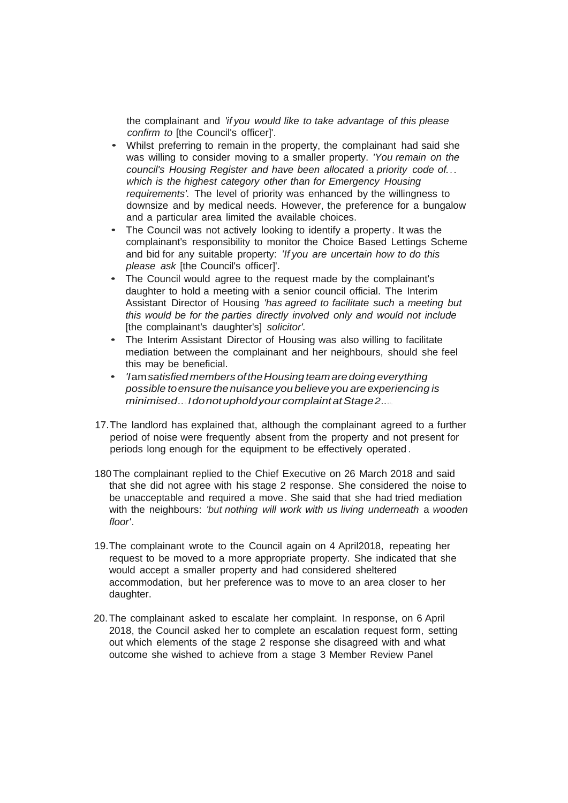the complainant and *'if you would like to take advantage of this please confirm to* [the Council's officer]'.

- Whilst preferring to remain in the property, the complainant had said she was willing to consider moving to a smaller property. *'You remain on the council's Housing Register and have been allocated* a *priority code of... which is the highest category other than for Emergency Housing requirements'.* The level of priority was enhanced by the willingness to downsize and by medical needs. However, the preference for a bungalow and a particular area limited the available choices.
- The Council was not actively looking to identify a property. It was the complainant's responsibility to monitor the Choice Based Lettings Scheme and bid for any suitable property: *'If you are uncertain how to do this please ask* [the Council's officer]'.
- The Council would agree to the request made by the complainant's daughter to hold a meeting with a senior council official. The Interim Assistant Director of Housing *'has agreed to facilitate such* a *meeting but this would be for the parties directly involved only and would not include* [the complainant's daughter's] *solicitor'.*
- The Interim Assistant Director of Housing was also willing to facilitate mediation between the complainant and her neighbours, should she feel this may be beneficial.
- *'I*am*satisfied members oftheHousing teamaredoingeverything possible toensure thenuisanceyou believeyou areexperiencing is minimised...IdonotupholdyourcomplaintatStage2....*
- 17.The landlord has explained that, although the complainant agreed to a further period of noise were frequently absent from the property and not present for periods long enough for the equipment to be effectively operated .
- 180The complainant replied to the Chief Executive on 26 March 2018 and said that she did not agree with his stage 2 response. She considered the noise to be unacceptable and required a move. She said that she had tried mediation with the neighbours: *'but nothing will work with us living underneath* a *wooden floor'.*
- 19.The complainant wrote to the Council again on 4 April2018, repeating her request to be moved to a more appropriate property. She indicated that she would accept a smaller property and had considered sheltered accommodation, but her preference was to move to an area closer to her daughter.
- 20.The complainant asked to escalate her complaint. In response, on 6 April 2018, the Council asked her to complete an escalation request form, setting out which elements of the stage 2 response she disagreed with and what outcome she wished to achieve from a stage 3 Member Review Panel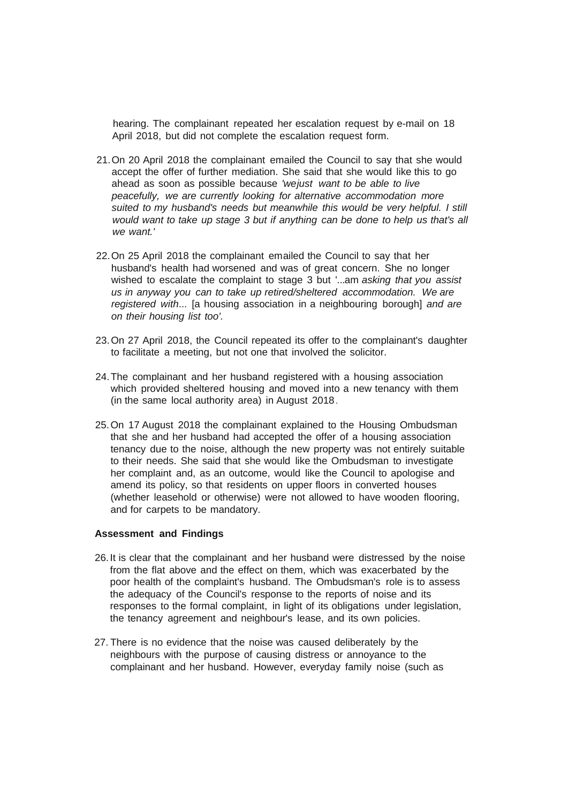hearing. The complainant repeated her escalation request by e-mail on 18 April 2018, but did not complete the escalation request form.

- 21.On 20 April 2018 the complainant emailed the Council to say that she would accept the offer of further mediation. She said that she would like this to go ahead as soon as possible because *'wejust want to be able to live peacefully, we are currently looking for alternative accommodation more suited to my husband's needs but meanwhile this would be very helpful. I still would want to take up stage 3 but if anything can be done to help us that's all we want.'*
- 22.On 25 April 2018 the complainant emailed the Council to say that her husband's health had worsened and was of great concern. She no longer wished to escalate the complaint to stage 3 but '...am *asking that you assist us in anyway you can to take up retired/sheltered accommodation. We are registered with...* [a housing association in a neighbouring borough] *and are on their housing list too'.*
- 23.On 27 April 2018, the Council repeated its offer to the complainant's daughter to facilitate a meeting, but not one that involved the solicitor.
- 24.The complainant and her husband registered with a housing association which provided sheltered housing and moved into a new tenancy with them (in the same local authority area) in August 2018.
- 25.On 17 August 2018 the complainant explained to the Housing Ombudsman that she and her husband had accepted the offer of a housing association tenancy due to the noise, although the new property was not entirely suitable to their needs. She said that she would like the Ombudsman to investigate her complaint and, as an outcome, would like the Council to apologise and amend its policy, so that residents on upper floors in converted houses (whether leasehold or otherwise) were not allowed to have wooden flooring, and for carpets to be mandatory.

### **Assessment and Findings**

- 26.It is clear that the complainant and her husband were distressed by the noise from the flat above and the effect on them, which was exacerbated by the poor health of the complaint's husband. The Ombudsman's role is to assess the adequacy of the Council's response to the reports of noise and its responses to the formal complaint, in light of its obligations under legislation, the tenancy agreement and neighbour's lease, and its own policies.
- 27. There is no evidence that the noise was caused deliberately by the neighbours with the purpose of causing distress or annoyance to the complainant and her husband. However, everyday family noise (such as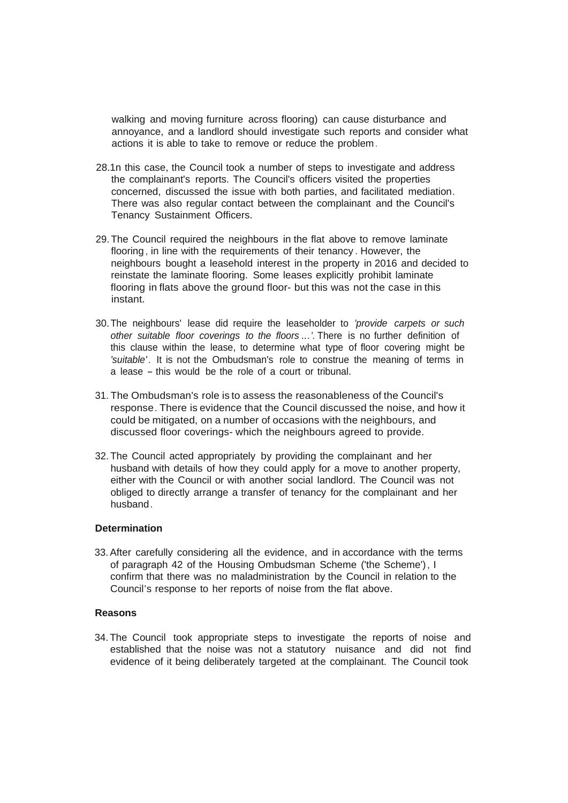walking and moving furniture across flooring) can cause disturbance and annoyance, and a landlord should investigate such reports and consider what actions it is able to take to remove or reduce the problem.

- 28.1n this case, the Council took a number of steps to investigate and address the complainant's reports. The Council's officers visited the properties concerned, discussed the issue with both parties, and facilitated mediation. There was also regular contact between the complainant and the Council's Tenancy Sustainment Officers.
- 29.The Council required the neighbours in the flat above to remove laminate flooring, in line with the requirements of their tenancy . However, the neighbours bought a leasehold interest in the property in 2016 and decided to reinstate the laminate flooring. Some leases explicitly prohibit laminate flooring in flats above the ground floor- but this was not the case in this instant.
- 30.The neighbours' lease did require the leaseholder to *'provide carpets or such other suitable floor coverings to the floors ...'.* There is no further definition of this clause within the lease, to determine what type of floor covering might be *'suitable' .* It is not the Ombudsman's role to construe the meaning of terms in a lease – this would be the role of a court or tribunal.
- 31. The Ombudsman's role is to assess the reasonableness of the Council's response. There is evidence that the Council discussed the noise, and how it could be mitigated, on a number of occasions with the neighbours, and discussed floor coverings- which the neighbours agreed to provide.
- 32.The Council acted appropriately by providing the complainant and her husband with details of how they could apply for a move to another property, either with the Council or with another social landlord. The Council was not obliged to directly arrange a transfer of tenancy for the complainant and her husband.

## **Determination**

33.After carefully considering all the evidence, and in accordance with the terms of paragraph 42 of the Housing Ombudsman Scheme ('the Scheme'), I confirm that there was no maladministration by the Council in relation to the Council's response to her reports of noise from the flat above.

#### **Reasons**

34.The Council took appropriate steps to investigate the reports of noise and established that the noise was not a statutory nuisance and did not find evidence of it being deliberately targeted at the complainant. The Council took